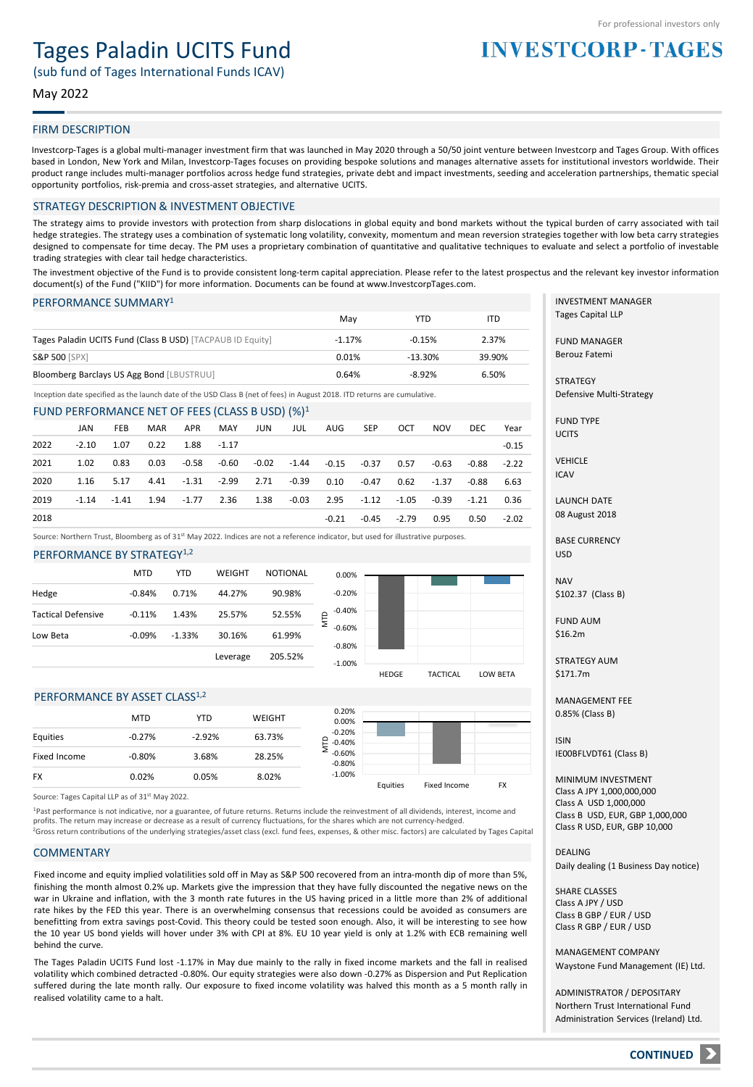# Tages Paladin UCITS Fund

(sub fund of Tages International Funds ICAV)

### May 2022

#### FIRM DESCRIPTION

Investcorp-Tages is a global multi-manager investment firm that was launched in May 2020 through a 50/50 joint venture between Investcorp and Tages Group. With offices based in London, New York and Milan, Investcorp-Tages focuses on providing bespoke solutions and manages alternative assets for institutional investors worldwide. Their product range includes multi-manager portfolios across hedge fund strategies, private debt and impact investments, seeding and acceleration partnerships, thematic special opportunity portfolios, risk-premia and cross-asset strategies, and alternative UCITS.

#### STRATEGY DESCRIPTION & INVESTMENT OBJECTIVE

The strategy aims to provide investors with protection from sharp dislocations in global equity and bond markets without the typical burden of carry associated with tail hedge strategies. The strategy uses a combination of systematic long volatility, convexity, momentum and mean reversion strategies together with low beta carry strategies designed to compensate for time decay. The PM uses a proprietary combination of quantitative and qualitative techniques to evaluate and select a portfolio of investable trading strategies with clear tail hedge characteristics.

The investment objective of the Fund is to provide consistent long-term capital appreciation. Please refer to the latest prospectus and the relevant key investor information document(s) of the Fund ("KIID") for more information. Documents can be found at www.InvestcorpTages.com.

#### PERFORMANCE SUMMARY1

|                                                            | Mav      | YTD       | ITD    |
|------------------------------------------------------------|----------|-----------|--------|
| Tages Paladin UCITS Fund (Class B USD) [TACPAUB ID Equity] | $-1.17%$ | $-0.15%$  | 2.37%  |
| <b>S&amp;P 500 [SPX]</b>                                   | 0.01%    | $-13.30%$ | 39.90% |
| Bloomberg Barclays US Agg Bond [LBUSTRUU]                  | 0.64%    | $-8.92%$  | 6.50%  |

Inception date specified as the launch date of the USD Class B (net of fees) in August 2018. ITD returns are cumulative.

#### FUND PERFORMANCE NET OF FEES (CLASS B USD) (%)1

|      | JAN     | <b>FEB</b> | MAR  | APR                   | MAY | JUN | JUL                                                                                        | AUG SEP | OCT           | NOV  | DEC         | Year    |
|------|---------|------------|------|-----------------------|-----|-----|--------------------------------------------------------------------------------------------|---------|---------------|------|-------------|---------|
| 2022 | $-2.10$ | 1.07       |      | $0.22$ $1.88$ $-1.17$ |     |     |                                                                                            |         |               |      |             | $-0.15$ |
| 2021 | 1.02    | 0.83       | 0.03 |                       |     |     | -0.58 -0.60 -0.02 -1.44 -0.15 -0.37 0.57                                                   |         |               |      | -0.63 -0.88 | $-2.22$ |
| 2020 | 1.16    | 5.17       |      |                       |     |     | 4.41 -1.31 -2.99 2.71 -0.39 0.10 -0.47 0.62 -1.37                                          |         |               |      | -0.88       | 6.63    |
| 2019 | $-1.14$ |            |      |                       |     |     | $-1.41$ $1.94$ $-1.77$ $2.36$ $1.38$ $-0.03$ $2.95$ $-1.12$ $-1.05$ $-0.39$ $-1.21$ $0.36$ |         |               |      |             |         |
| 2018 |         |            |      |                       |     |     |                                                                                            | $-0.21$ | $-0.45 -2.79$ | 0.95 | 0.50        | $-2.02$ |

Source: Northern Trust, Bloomberg as of 31st May 2022. Indices are not a reference indicator, but used for illustrative purposes.

#### PERFORMANCE BY STRATEGY<sup>1,2</sup>

|                           | <b>MTD</b> | YTD      | WEIGHT   | <b>NOTIONAL</b> | 0.0              |
|---------------------------|------------|----------|----------|-----------------|------------------|
| Hedge                     | $-0.84%$   | 0.71%    | 44.27%   | 90.98%          | $-0.2$           |
| <b>Tactical Defensive</b> | $-0.11%$   | 1.43%    | 25.57%   | 52.55%          | $-0.4$<br>NTD    |
| Low Beta                  | $-0.09%$   | $-1.33%$ | 30.16%   | 61.99%          | $-0.6$           |
|                           |            |          | Leverage | 205.52%         | $-0.8$<br>$\sim$ |



#### PERFORMANCE BY ASSET CLASS<sup>1,2</sup>

|              | <b>MTD</b> | YTD      | WEIGHT | 0.20%<br>0.00%             |          |              |           |
|--------------|------------|----------|--------|----------------------------|----------|--------------|-----------|
| Equities     | $-0.27%$   | $-2.92%$ | 63.73% | $-0.20%$<br>₽.<br>$-0.40%$ |          |              |           |
| Fixed Income | $-0.80%$   | 3.68%    | 28.25% | $-0.60%$<br>$-0.80%$       |          |              |           |
| <b>FX</b>    | 0.02%      | 0.05%    | 8.02%  | $-1.00%$                   | Fauities | Fived Income | <b>FY</b> |

Source: Tages Capital LLP as of 31<sup>st</sup> May 2022.

<sup>1</sup>Past performance is not indicative, nor a guarantee, of future returns. Returns include the reinvestment of all dividends, interest, income and profits. The return may increase or decrease as a result of currency fluctuations, for the shares which are not currency-hedged.

<sup>2</sup>Gross return contributions of the underlying strategies/asset class (excl. fund fees, expenses, & other misc. factors) are calculated by Tages Capital

#### **COMMENTARY**

Fixed income and equity implied volatilities sold off in May as S&P 500 recovered from an intra-month dip of more than 5%, finishing the month almost 0.2% up. Markets give the impression that they have fully discounted the negative news on the war in Ukraine and inflation, with the 3 month rate futures in the US having priced in a little more than 2% of additional rate hikes by the FED this year. There is an overwhelming consensus that recessions could be avoided as consumers are benefitting from extra savings post-Covid. This theory could be tested soon enough. Also, it will be interesting to see how the 10 year US bond yields will hover under 3% with CPI at 8%. EU 10 year yield is only at 1.2% with ECB remaining well behind the curve.

The Tages Paladin UCITS Fund lost -1.17% in May due mainly to the rally in fixed income markets and the fall in realised volatility which combined detracted -0.80%. Our equity strategies were also down -0.27% as Dispersion and Put Replication suffered during the late month rally. Our exposure to fixed income volatility was halved this month as a 5 month rally in realised volatility came to a halt.

INVESTMENT MANAGER Tages Capital LLP

**INVESTCORP-TAGES** 

FUND MANAGER Berouz Fatemi

**STRATEGY** Defensive Multi-Strategy

FUND TYPE UCITS

**VEHICLE** ICAV

LAUNCH DATE 08 August 2018

BASE CURRENCY USD

NAV \$102.37 (Class B)

FUND AUM \$16.2m

STRATEGY AUM \$171.7m

MANAGEMENT FEE 0.85% (Class B)

ISIN IE00BFLVDT61 (Class B)

MINIMUM INVESTMENT Class A JPY 1,000,000,000 Class A USD 1,000,000 Class B USD, EUR, GBP 1,000,000 Class R USD, EUR, GBP 10,000

DEALING Daily dealing (1 Business Day notice)

SHARE CLASSES Class A JPY / USD Class B GBP / EUR / USD Class R GBP / EUR / USD

MANAGEMENT COMPANY Waystone Fund Management (IE) Ltd.

ADMINISTRATOR / DEPOSITARY Northern Trust International Fund Administration Services (Ireland) Ltd.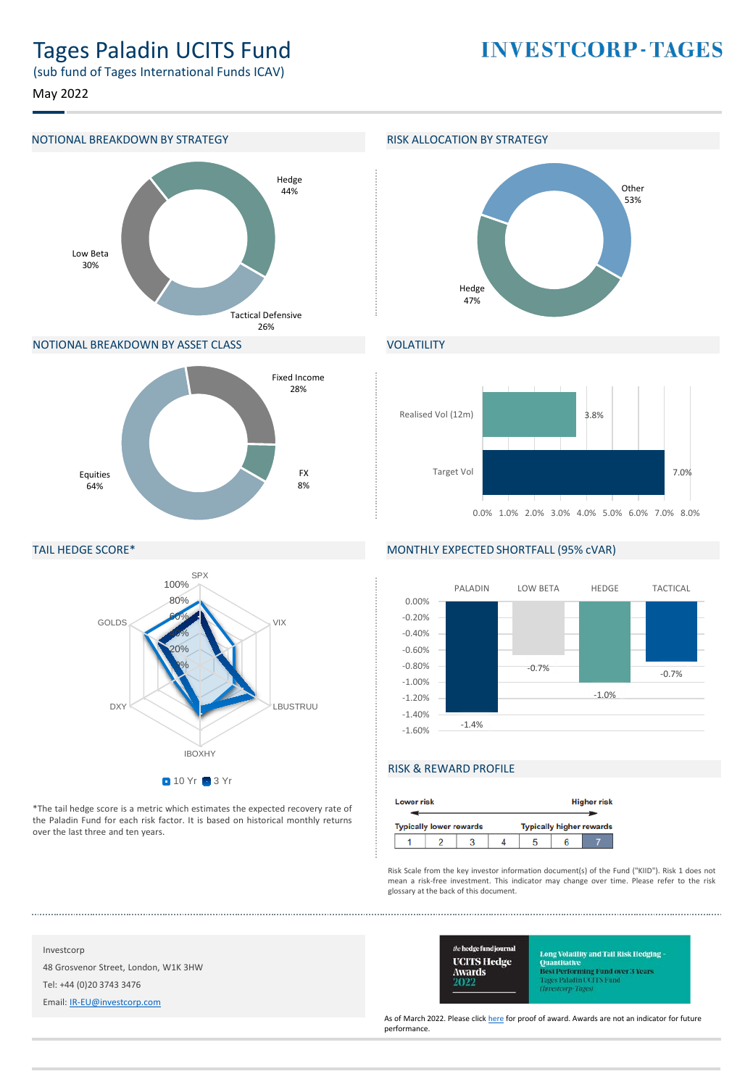# Tages Paladin UCITS Fund

**INVESTCORP-TAGES** 

(sub fund of Tages International Funds ICAV)

May 2022



#### NOTIONAL BREAKDOWN BY ASSET CLASS





## **VOLATILITY**



#### TAIL HEDGE SCORE\*



\*The tail hedge score is a metric which estimates the expected recovery rate of the Paladin Fund for each risk factor. It is based on historical monthly returns over the last three and ten years.

## MONTHLY EXPECTED SHORTFALL (95% cVAR)



## RISK & REWARD PROFILE

| <b>Lower risk</b> |                                |  |  |                                 |  | <b>Higher risk</b> |
|-------------------|--------------------------------|--|--|---------------------------------|--|--------------------|
|                   | <b>Typically lower rewards</b> |  |  | <b>Typically higher rewards</b> |  |                    |
|                   |                                |  |  |                                 |  |                    |

Risk Scale from the key investor information document(s) of the Fund ("KIID"). Risk 1 does not mean a risk-free investment. This indicator may change over time. Please refer to the risk glossary at the back of this document.

Investcorp

48 Grosvenor Street, London, W1K 3HW Tel: +44 (0)20 3743 3476

Email: [IR-EU@investcorp.com](mailto:IR-EU@investcorp.com)



Long Volatility and Tail Risk Hedging Quantitative<br>Best Performing Fund over 3 Years **Tages Paladin UCITS Fund** 

As of March 2022. Please click [here](https://protect-eu.mimecast.com/s/bc6pCywVGiPjYoFM7FMT) for proof of award. Awards are not an indicator for future performance.